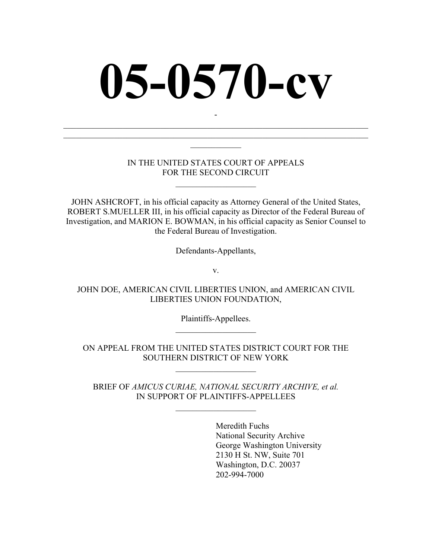# **05-0570-cv**

-  $\mathcal{L}_\text{max}$  , and the contribution of the contribution of the contribution of the contribution of the contribution of the contribution of the contribution of the contribution of the contribution of the contribution of t  $\mathcal{L}_\text{max}$  , and the contribution of the contribution of the contribution of the contribution of the contribution of the contribution of the contribution of the contribution of the contribution of the contribution of t  $\mathcal{L}_\text{max}$ 

#### IN THE UNITED STATES COURT OF APPEALS FOR THE SECOND CIRCUIT

 $\mathcal{L}_\text{max}$  , where  $\mathcal{L}_\text{max}$ 

JOHN ASHCROFT, in his official capacity as Attorney General of the United States, ROBERT S.MUELLER III, in his official capacity as Director of the Federal Bureau of Investigation, and MARION E. BOWMAN, in his official capacity as Senior Counsel to the Federal Bureau of Investigation.

Defendants-Appellants,

v.

JOHN DOE, AMERICAN CIVIL LIBERTIES UNION, and AMERICAN CIVIL LIBERTIES UNION FOUNDATION,

> Plaintiffs-Appellees.  $\mathcal{L}_\text{max}$

ON APPEAL FROM THE UNITED STATES DISTRICT COURT FOR THE SOUTHERN DISTRICT OF NEW YORK

 $\mathcal{L}_\text{max}$  , where  $\mathcal{L}_\text{max}$ 

BRIEF OF *AMICUS CURIAE, NATIONAL SECURITY ARCHIVE, et al.*  IN SUPPORT OF PLAINTIFFS-APPELLEES

 $\overline{\phantom{a}}$  , where  $\overline{\phantom{a}}$ 

Meredith Fuchs National Security Archive George Washington University 2130 H St. NW, Suite 701 Washington, D.C. 20037 202-994-7000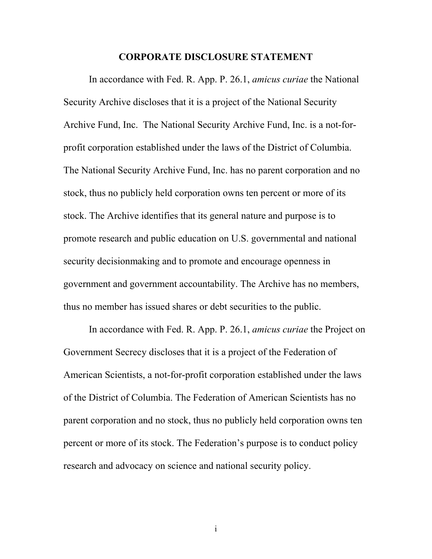#### **CORPORATE DISCLOSURE STATEMENT**

In accordance with Fed. R. App. P. 26.1, *amicus curiae* the National Security Archive discloses that it is a project of the National Security Archive Fund, Inc. The National Security Archive Fund, Inc. is a not-forprofit corporation established under the laws of the District of Columbia. The National Security Archive Fund, Inc. has no parent corporation and no stock, thus no publicly held corporation owns ten percent or more of its stock. The Archive identifies that its general nature and purpose is to promote research and public education on U.S. governmental and national security decisionmaking and to promote and encourage openness in government and government accountability. The Archive has no members, thus no member has issued shares or debt securities to the public.

In accordance with Fed. R. App. P. 26.1, *amicus curiae* the Project on Government Secrecy discloses that it is a project of the Federation of American Scientists, a not-for-profit corporation established under the laws of the District of Columbia. The Federation of American Scientists has no parent corporation and no stock, thus no publicly held corporation owns ten percent or more of its stock. The Federation's purpose is to conduct policy research and advocacy on science and national security policy.

i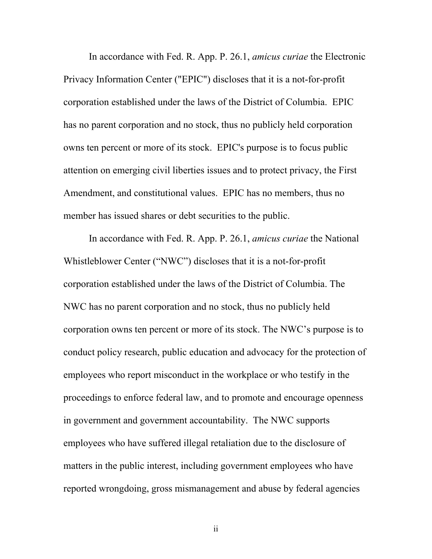In accordance with Fed. R. App. P. 26.1, *amicus curiae* the Electronic Privacy Information Center ("EPIC") discloses that it is a not-for-profit corporation established under the laws of the District of Columbia. EPIC has no parent corporation and no stock, thus no publicly held corporation owns ten percent or more of its stock. EPIC's purpose is to focus public attention on emerging civil liberties issues and to protect privacy, the First Amendment, and constitutional values. EPIC has no members, thus no member has issued shares or debt securities to the public.

In accordance with Fed. R. App. P. 26.1, *amicus curiae* the National Whistleblower Center ("NWC") discloses that it is a not-for-profit corporation established under the laws of the District of Columbia. The NWC has no parent corporation and no stock, thus no publicly held corporation owns ten percent or more of its stock. The NWC's purpose is to conduct policy research, public education and advocacy for the protection of employees who report misconduct in the workplace or who testify in the proceedings to enforce federal law, and to promote and encourage openness in government and government accountability. The NWC supports employees who have suffered illegal retaliation due to the disclosure of matters in the public interest, including government employees who have reported wrongdoing, gross mismanagement and abuse by federal agencies

ii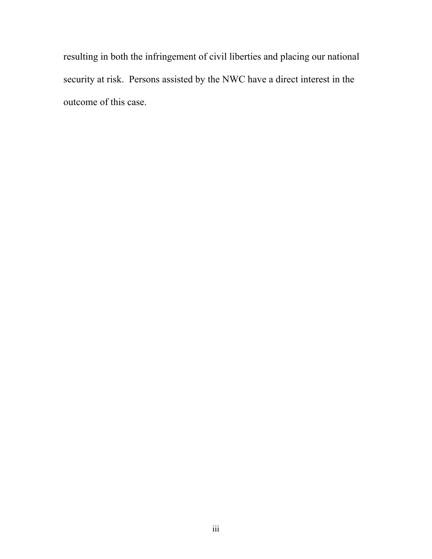resulting in both the infringement of civil liberties and placing our national security at risk. Persons assisted by the NWC have a direct interest in the outcome of this case.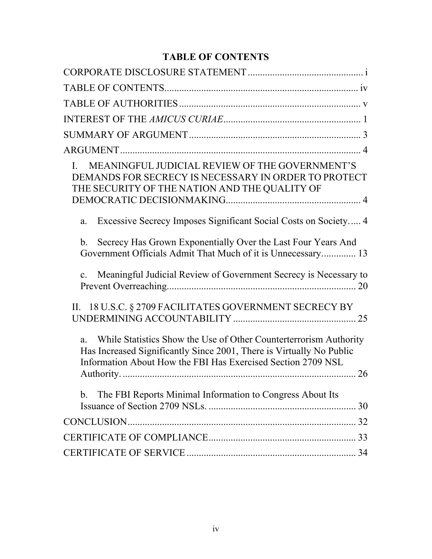# **TABLE OF CONTENTS**

| MEANINGFUL JUDICIAL REVIEW OF THE GOVERNMENT'S<br>DEMANDS FOR SECRECY IS NECESSARY IN ORDER TO PROTECT<br>THE SECURITY OF THE NATION AND THE QUALITY OF                                                   |  |
|-----------------------------------------------------------------------------------------------------------------------------------------------------------------------------------------------------------|--|
| Excessive Secrecy Imposes Significant Social Costs on Society 4<br>a.                                                                                                                                     |  |
| Secrecy Has Grown Exponentially Over the Last Four Years And<br>b <sub>1</sub><br>Government Officials Admit That Much of it is Unnecessary 13                                                            |  |
| Meaningful Judicial Review of Government Secrecy is Necessary to<br>$\mathbf{c}$ .                                                                                                                        |  |
| II. 18 U.S.C. § 2709 FACILITATES GOVERNMENT SECRECY BY                                                                                                                                                    |  |
| While Statistics Show the Use of Other Counterterrorism Authority<br>Has Increased Significantly Since 2001, There is Virtually No Public<br>Information About How the FBI Has Exercised Section 2709 NSL |  |
|                                                                                                                                                                                                           |  |
| The FBI Reports Minimal Information to Congress About Its<br>$\mathbf{b}$ .                                                                                                                               |  |
|                                                                                                                                                                                                           |  |
|                                                                                                                                                                                                           |  |
|                                                                                                                                                                                                           |  |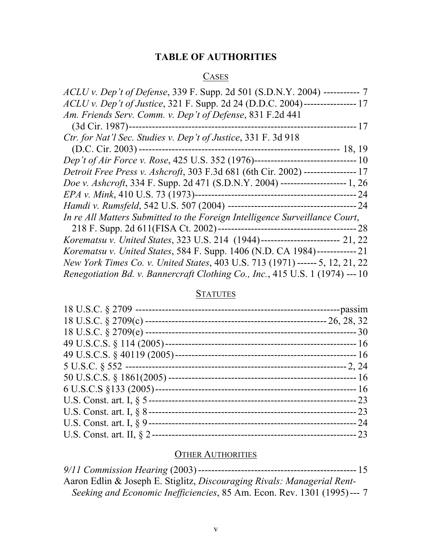## **TABLE OF AUTHORITIES**

#### **CASES**

#### **STATUTES**

#### OTHER AUTHORITIES

*9/11 Commission Hearing* (2003) ------------------------------------------------ 15 Aaron Edlin & Joseph E. Stiglitz, *Discouraging Rivals: Managerial Rent-Seeking and Economic Inefficiencies*, 85 Am. Econ. Rev. 1301 (1995) --- 7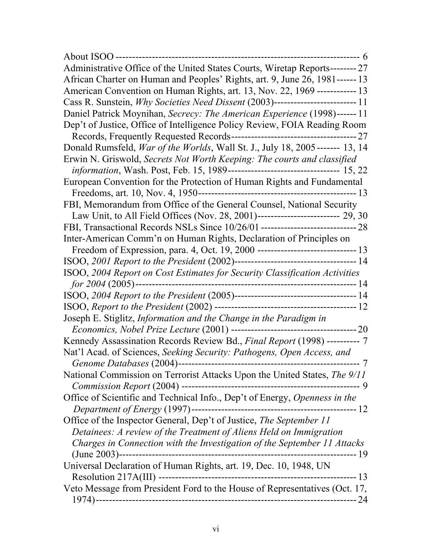| Administrative Office of the United States Courts, Wiretap Reports-------- 27        |
|--------------------------------------------------------------------------------------|
| African Charter on Human and Peoples' Rights, art. 9, June 26, 1981------ 13         |
| American Convention on Human Rights, art. 13, Nov. 22, 1969 ------------- 13         |
|                                                                                      |
| Daniel Patrick Moynihan, Secrecy: The American Experience (1998)------11             |
| Dep't of Justice, Office of Intelligence Policy Review, FOIA Reading Room            |
|                                                                                      |
| Donald Rumsfeld, <i>War of the Worlds</i> , Wall St. J., July 18, 2005------- 13, 14 |
| Erwin N. Griswold, Secrets Not Worth Keeping: The courts and classified              |
| information, Wash. Post, Feb. 15, 1989--------------------------------- 15, 22       |
| European Convention for the Protection of Human Rights and Fundamental               |
|                                                                                      |
| FBI, Memorandum from Office of the General Counsel, National Security                |
| Law Unit, to All Field Offices (Nov. 28, 2001)------------------------ 29, 30        |
| FBI, Transactional Records NSLs Since 10/26/01 ----------------------------- 28      |
| Inter-American Comm'n on Human Rights, Declaration of Principles on                  |
|                                                                                      |
|                                                                                      |
| ISOO, 2004 Report on Cost Estimates for Security Classification Activities           |
|                                                                                      |
|                                                                                      |
|                                                                                      |
| Joseph E. Stiglitz, Information and the Change in the Paradigm in                    |
|                                                                                      |
| Kennedy Assassination Records Review Bd., Final Report (1998) ---------- 7           |
| Nat'l Acad. of Sciences, Seeking Security: Pathogens, Open Access, and               |
|                                                                                      |
| National Commission on Terrorist Attacks Upon the United States, The 9/11            |
|                                                                                      |
| Office of Scientific and Technical Info., Dep't of Energy, Openness in the           |
|                                                                                      |
| Office of the Inspector General, Dep't of Justice, The September 11                  |
| Detainees: A review of the Treatment of Aliens Held on Immigration                   |
| Charges in Connection with the Investigation of the September 11 Attacks             |
|                                                                                      |
| Universal Declaration of Human Rights, art. 19, Dec. 10, 1948, UN                    |
|                                                                                      |
|                                                                                      |
|                                                                                      |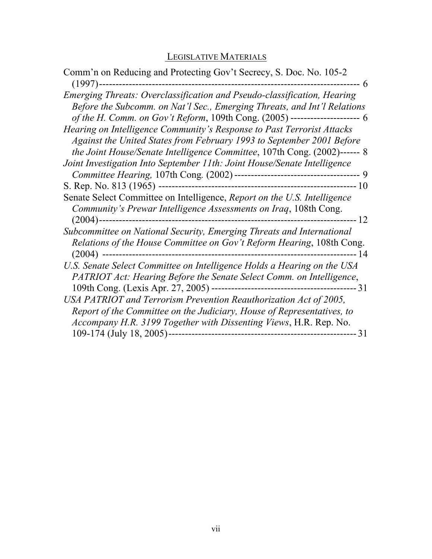# LEGISLATIVE MATERIALS

| Comm'n on Reducing and Protecting Gov't Secrecy, S. Doc. No. 105-2<br>-6                                                                                                                                                            |
|-------------------------------------------------------------------------------------------------------------------------------------------------------------------------------------------------------------------------------------|
| Emerging Threats: Overclassification and Pseudo-classification, Hearing<br>Before the Subcomm. on Nat'l Sec., Emerging Threats, and Int'l Relations<br>of the H. Comm. on Gov't Reform, 109th Cong. (2005) ---------------------- 6 |
| Hearing on Intelligence Community's Response to Past Terrorist Attacks<br>Against the United States from February 1993 to September 2001 Before<br>the Joint House/Senate Intelligence Committee, 107th Cong. (2002)------ 8        |
| Joint Investigation Into September 11th: Joint House/Senate Intelligence                                                                                                                                                            |
|                                                                                                                                                                                                                                     |
|                                                                                                                                                                                                                                     |
| Senate Select Committee on Intelligence, Report on the U.S. Intelligence<br>Community's Prewar Intelligence Assessments on Iraq, 108th Cong.                                                                                        |
| Subcommittee on National Security, Emerging Threats and International<br>Relations of the House Committee on Gov't Reform Hearing, 108th Cong.                                                                                      |
| U.S. Senate Select Committee on Intelligence Holds a Hearing on the USA<br>PATRIOT Act: Hearing Before the Senate Select Comm. on Intelligence,                                                                                     |
| USA PATRIOT and Terrorism Prevention Reauthorization Act of 2005,<br>Report of the Committee on the Judiciary, House of Representatives, to<br>Accompany H.R. 3199 Together with Dissenting Views, H.R. Rep. No.                    |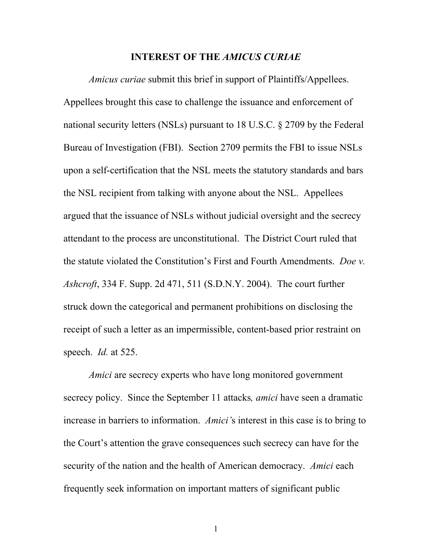#### **INTEREST OF THE** *AMICUS CURIAE*

*Amicus curiae* submit this brief in support of Plaintiffs/Appellees. Appellees brought this case to challenge the issuance and enforcement of national security letters (NSLs) pursuant to 18 U.S.C. § 2709 by the Federal Bureau of Investigation (FBI). Section 2709 permits the FBI to issue NSLs upon a self-certification that the NSL meets the statutory standards and bars the NSL recipient from talking with anyone about the NSL. Appellees argued that the issuance of NSLs without judicial oversight and the secrecy attendant to the process are unconstitutional. The District Court ruled that the statute violated the Constitution's First and Fourth Amendments. *Doe v. Ashcroft*, 334 F. Supp. 2d 471, 511 (S.D.N.Y. 2004). The court further struck down the categorical and permanent prohibitions on disclosing the receipt of such a letter as an impermissible, content-based prior restraint on speech. *Id.* at 525.

*Amici* are secrecy experts who have long monitored government secrecy policy. Since the September 11 attacks*, amici* have seen a dramatic increase in barriers to information. *Amici'*s interest in this case is to bring to the Court's attention the grave consequences such secrecy can have for the security of the nation and the health of American democracy. *Amici* each frequently seek information on important matters of significant public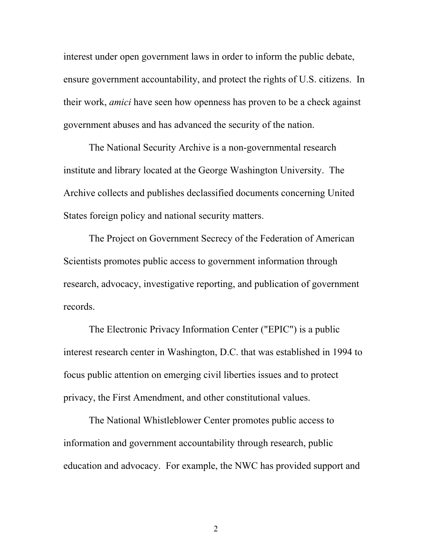interest under open government laws in order to inform the public debate, ensure government accountability, and protect the rights of U.S. citizens. In their work, *amici* have seen how openness has proven to be a check against government abuses and has advanced the security of the nation.

The National Security Archive is a non-governmental research institute and library located at the George Washington University. The Archive collects and publishes declassified documents concerning United States foreign policy and national security matters.

 The Project on Government Secrecy of the Federation of American Scientists promotes public access to government information through research, advocacy, investigative reporting, and publication of government records.

 The Electronic Privacy Information Center ("EPIC") is a public interest research center in Washington, D.C. that was established in 1994 to focus public attention on emerging civil liberties issues and to protect privacy, the First Amendment, and other constitutional values.

 The National Whistleblower Center promotes public access to information and government accountability through research, public education and advocacy. For example, the NWC has provided support and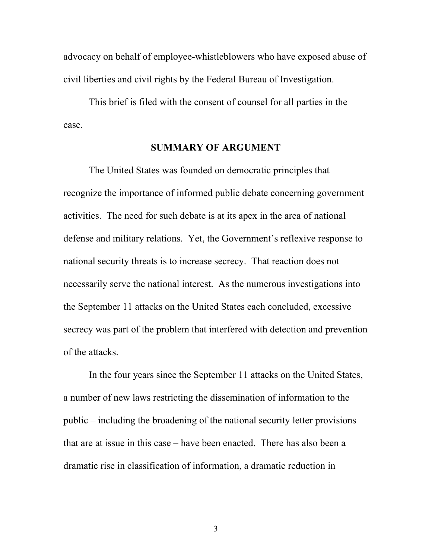advocacy on behalf of employee-whistleblowers who have exposed abuse of civil liberties and civil rights by the Federal Bureau of Investigation.

 This brief is filed with the consent of counsel for all parties in the case.

#### **SUMMARY OF ARGUMENT**

The United States was founded on democratic principles that recognize the importance of informed public debate concerning government activities. The need for such debate is at its apex in the area of national defense and military relations. Yet, the Government's reflexive response to national security threats is to increase secrecy. That reaction does not necessarily serve the national interest. As the numerous investigations into the September 11 attacks on the United States each concluded, excessive secrecy was part of the problem that interfered with detection and prevention of the attacks.

In the four years since the September 11 attacks on the United States, a number of new laws restricting the dissemination of information to the public – including the broadening of the national security letter provisions that are at issue in this case – have been enacted. There has also been a dramatic rise in classification of information, a dramatic reduction in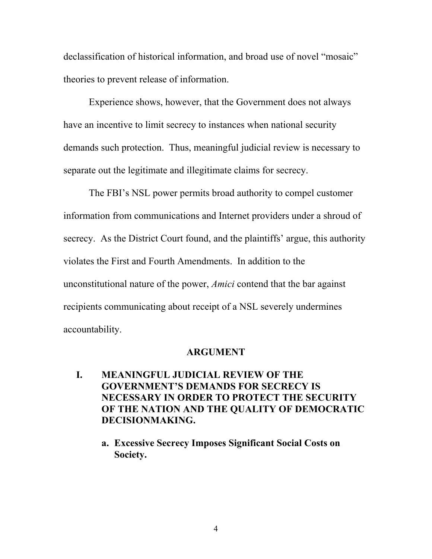declassification of historical information, and broad use of novel "mosaic" theories to prevent release of information.

Experience shows, however, that the Government does not always have an incentive to limit secrecy to instances when national security demands such protection. Thus, meaningful judicial review is necessary to separate out the legitimate and illegitimate claims for secrecy.

The FBI's NSL power permits broad authority to compel customer information from communications and Internet providers under a shroud of secrecy. As the District Court found, and the plaintiffs' argue, this authority violates the First and Fourth Amendments. In addition to the unconstitutional nature of the power, *Amici* contend that the bar against recipients communicating about receipt of a NSL severely undermines accountability.

#### **ARGUMENT**

- **I. MEANINGFUL JUDICIAL REVIEW OF THE GOVERNMENT'S DEMANDS FOR SECRECY IS NECESSARY IN ORDER TO PROTECT THE SECURITY OF THE NATION AND THE QUALITY OF DEMOCRATIC DECISIONMAKING.** 
	- **a. Excessive Secrecy Imposes Significant Social Costs on Society.**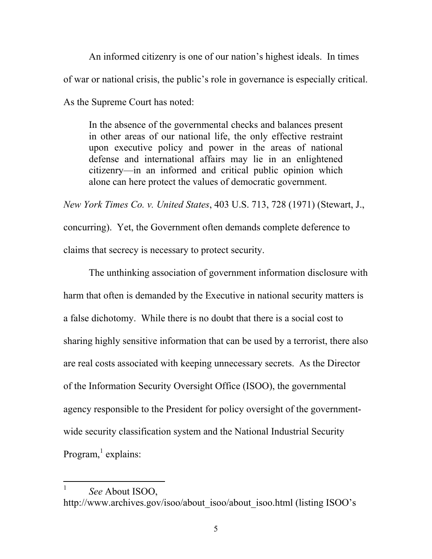An informed citizenry is one of our nation's highest ideals. In times of war or national crisis, the public's role in governance is especially critical. As the Supreme Court has noted:

In the absence of the governmental checks and balances present in other areas of our national life, the only effective restraint upon executive policy and power in the areas of national defense and international affairs may lie in an enlightened citizenry—in an informed and critical public opinion which alone can here protect the values of democratic government.

*New York Times Co. v. United States*, 403 U.S. 713, 728 (1971) (Stewart, J., concurring). Yet, the Government often demands complete deference to claims that secrecy is necessary to protect security.

The unthinking association of government information disclosure with harm that often is demanded by the Executive in national security matters is a false dichotomy. While there is no doubt that there is a social cost to sharing highly sensitive information that can be used by a terrorist, there also are real costs associated with keeping unnecessary secrets. As the Director of the Information Security Oversight Office (ISOO), the governmental agency responsible to the President for policy oversight of the governmentwide security classification system and the National Industrial Security Program,<sup>1</sup> explains:

 $\overline{a}$ 

<sup>1</sup> *See* About ISOO, http://www.archives.gov/isoo/about\_isoo/about\_isoo.html (listing ISOO's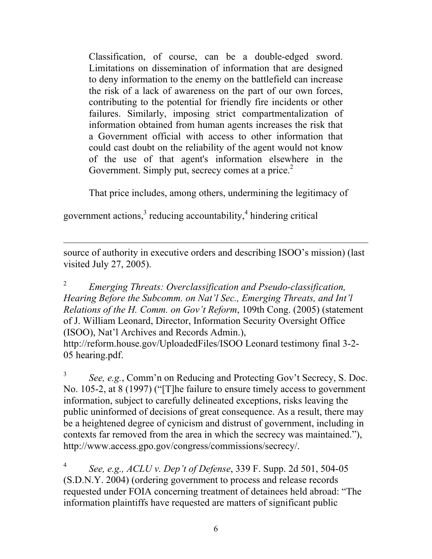Classification, of course, can be a double-edged sword. Limitations on dissemination of information that are designed to deny information to the enemy on the battlefield can increase the risk of a lack of awareness on the part of our own forces, contributing to the potential for friendly fire incidents or other failures. Similarly, imposing strict compartmentalization of information obtained from human agents increases the risk that a Government official with access to other information that could cast doubt on the reliability of the agent would not know of the use of that agent's information elsewhere in the Government. Simply put, secrecy comes at a price. $2$ 

That price includes, among others, undermining the legitimacy of

government actions, $3$  reducing accountability, $4$  hindering critical

 $\overline{a}$ 

source of authority in executive orders and describing ISOO's mission) (last visited July 27, 2005).

2 *Emerging Threats: Overclassification and Pseudo-classification, Hearing Before the Subcomm. on Nat'l Sec., Emerging Threats, and Int'l Relations of the H. Comm. on Gov't Reform*, 109th Cong. (2005) (statement of J. William Leonard, Director, Information Security Oversight Office (ISOO), Nat'l Archives and Records Admin.), http://reform.house.gov/UploadedFiles/ISOO Leonard testimony final 3-2- 05 hearing.pdf.

3 *See, e.g.*, Comm'n on Reducing and Protecting Gov't Secrecy, S. Doc. No. 105-2, at 8 (1997) ("[T]he failure to ensure timely access to government information, subject to carefully delineated exceptions, risks leaving the public uninformed of decisions of great consequence. As a result, there may be a heightened degree of cynicism and distrust of government, including in contexts far removed from the area in which the secrecy was maintained."), http://www.access.gpo.gov/congress/commissions/secrecy/.

4 *See, e.g., ACLU v. Dep't of Defense*, 339 F. Supp. 2d 501, 504-05 (S.D.N.Y. 2004) (ordering government to process and release records requested under FOIA concerning treatment of detainees held abroad: "The information plaintiffs have requested are matters of significant public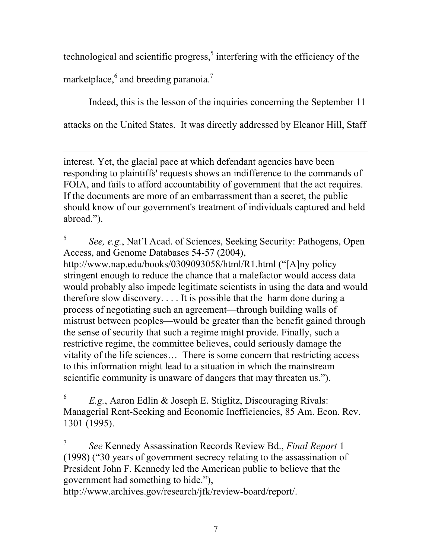technological and scientific progress, $5$  interfering with the efficiency of the marketplace,  $6$  and breeding paranoia.<sup>7</sup>

Indeed, this is the lesson of the inquiries concerning the September 11 attacks on the United States. It was directly addressed by Eleanor Hill, Staff

 $\overline{a}$ interest. Yet, the glacial pace at which defendant agencies have been responding to plaintiffs' requests shows an indifference to the commands of FOIA, and fails to afford accountability of government that the act requires. If the documents are more of an embarrassment than a secret, the public should know of our government's treatment of individuals captured and held abroad.").

5 *See, e.g.*, Nat'l Acad. of Sciences, Seeking Security: Pathogens, Open Access, and Genome Databases 54-57 (2004), http://www.nap.edu/books/0309093058/html/R1.html ("[A]ny policy stringent enough to reduce the chance that a malefactor would access data would probably also impede legitimate scientists in using the data and would therefore slow discovery. . . . It is possible that the harm done during a process of negotiating such an agreement—through building walls of mistrust between peoples—would be greater than the benefit gained through the sense of security that such a regime might provide. Finally, such a restrictive regime, the committee believes, could seriously damage the vitality of the life sciences… There is some concern that restricting access to this information might lead to a situation in which the mainstream scientific community is unaware of dangers that may threaten us.").

6 *E.g.*, Aaron Edlin & Joseph E. Stiglitz, Discouraging Rivals: Managerial Rent-Seeking and Economic Inefficiencies, 85 Am. Econ. Rev. 1301 (1995).

7 *See* Kennedy Assassination Records Review Bd., *Final Report* 1 (1998) ("30 years of government secrecy relating to the assassination of President John F. Kennedy led the American public to believe that the government had something to hide."),

http://www.archives.gov/research/jfk/review-board/report/.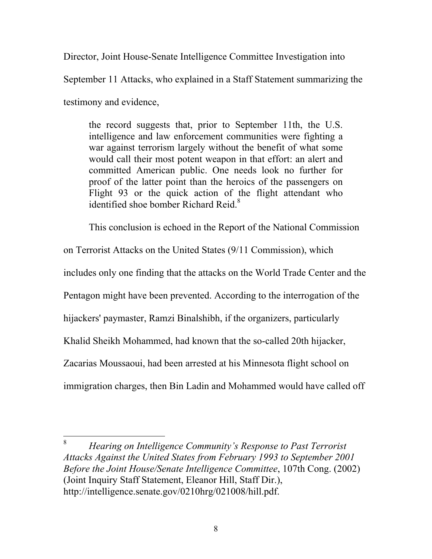Director, Joint House-Senate Intelligence Committee Investigation into

September 11 Attacks, who explained in a Staff Statement summarizing the

testimony and evidence,

 $\overline{a}$ 

the record suggests that, prior to September 11th, the U.S. intelligence and law enforcement communities were fighting a war against terrorism largely without the benefit of what some would call their most potent weapon in that effort: an alert and committed American public. One needs look no further for proof of the latter point than the heroics of the passengers on Flight 93 or the quick action of the flight attendant who identified shoe bomber Richard Reid.<sup>8</sup>

This conclusion is echoed in the Report of the National Commission

on Terrorist Attacks on the United States (9/11 Commission), which

includes only one finding that the attacks on the World Trade Center and the

Pentagon might have been prevented. According to the interrogation of the

hijackers' paymaster, Ramzi Binalshibh, if the organizers, particularly

Khalid Sheikh Mohammed, had known that the so-called 20th hijacker,

Zacarias Moussaoui, had been arrested at his Minnesota flight school on

immigration charges, then Bin Ladin and Mohammed would have called off

8 *Hearing on Intelligence Community's Response to Past Terrorist Attacks Against the United States from February 1993 to September 2001 Before the Joint House/Senate Intelligence Committee*, 107th Cong. (2002) (Joint Inquiry Staff Statement, Eleanor Hill, Staff Dir.), http://intelligence.senate.gov/0210hrg/021008/hill.pdf.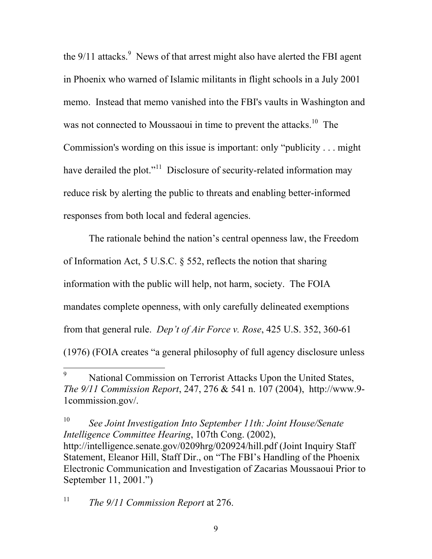the  $9/11$  attacks.<sup>9</sup> News of that arrest might also have alerted the FBI agent in Phoenix who warned of Islamic militants in flight schools in a July 2001 memo. Instead that memo vanished into the FBI's vaults in Washington and was not connected to Moussaoui in time to prevent the attacks.<sup>10</sup> The Commission's wording on this issue is important: only "publicity . . . might have derailed the plot."<sup>11</sup> Disclosure of security-related information may reduce risk by alerting the public to threats and enabling better-informed responses from both local and federal agencies.

The rationale behind the nation's central openness law, the Freedom of Information Act, 5 U.S.C. § 552, reflects the notion that sharing information with the public will help, not harm, society. The FOIA mandates complete openness, with only carefully delineated exemptions from that general rule. *Dep't of Air Force v. Rose*, 425 U.S. 352, 360-61 (1976) (FOIA creates "a general philosophy of full agency disclosure unless

10 *See Joint Investigation Into September 11th: Joint House/Senate Intelligence Committee Hearing*, 107th Cong. (2002), http://intelligence.senate.gov/0209hrg/020924/hill.pdf (Joint Inquiry Staff Statement, Eleanor Hill, Staff Dir., on "The FBI's Handling of the Phoenix Electronic Communication and Investigation of Zacarias Moussaoui Prior to September 11, 2001.")

11 *The 9/11 Commission Report* at 276.

 $\overline{a}$ 

<sup>9</sup> National Commission on Terrorist Attacks Upon the United States, *The 9/11 Commission Report*, 247, 276 & 541 n. 107 (2004), http://www.9- 1commission.gov/.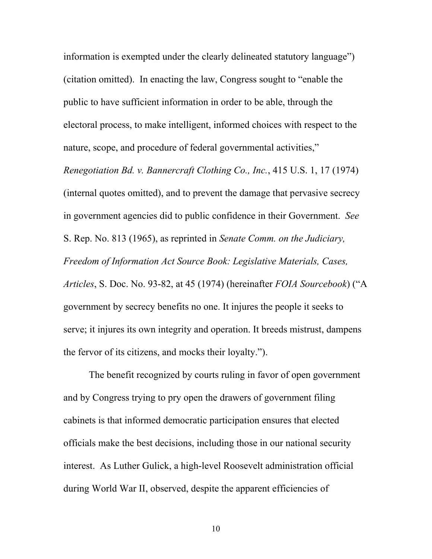information is exempted under the clearly delineated statutory language") (citation omitted). In enacting the law, Congress sought to "enable the public to have sufficient information in order to be able, through the electoral process, to make intelligent, informed choices with respect to the nature, scope, and procedure of federal governmental activities,"

*Renegotiation Bd. v. Bannercraft Clothing Co., Inc.*, 415 U.S. 1, 17 (1974) (internal quotes omitted), and to prevent the damage that pervasive secrecy in government agencies did to public confidence in their Government. *See* S. Rep. No. 813 (1965), as reprinted in *Senate Comm. on the Judiciary, Freedom of Information Act Source Book: Legislative Materials, Cases, Articles*, S. Doc. No. 93-82, at 45 (1974) (hereinafter *FOIA Sourcebook*) ("A government by secrecy benefits no one. It injures the people it seeks to serve; it injures its own integrity and operation. It breeds mistrust, dampens the fervor of its citizens, and mocks their loyalty.").

The benefit recognized by courts ruling in favor of open government and by Congress trying to pry open the drawers of government filing cabinets is that informed democratic participation ensures that elected officials make the best decisions, including those in our national security interest. As Luther Gulick, a high-level Roosevelt administration official during World War II, observed, despite the apparent efficiencies of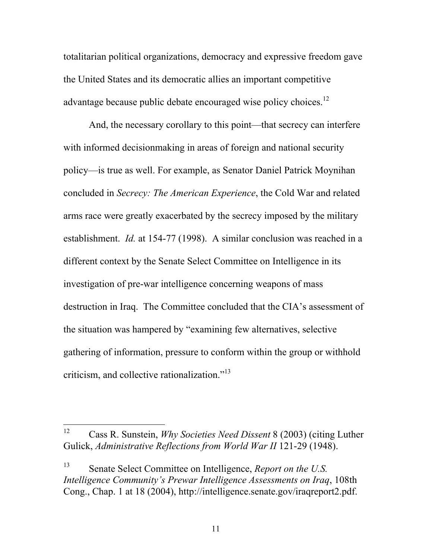totalitarian political organizations, democracy and expressive freedom gave the United States and its democratic allies an important competitive advantage because public debate encouraged wise policy choices.<sup>12</sup>

And, the necessary corollary to this point—that secrecy can interfere with informed decisionmaking in areas of foreign and national security policy—is true as well. For example, as Senator Daniel Patrick Moynihan concluded in *Secrecy: The American Experience*, the Cold War and related arms race were greatly exacerbated by the secrecy imposed by the military establishment. *Id.* at 154-77 (1998). A similar conclusion was reached in a different context by the Senate Select Committee on Intelligence in its investigation of pre-war intelligence concerning weapons of mass destruction in Iraq. The Committee concluded that the CIA's assessment of the situation was hampered by "examining few alternatives, selective gathering of information, pressure to conform within the group or withhold criticism, and collective rationalization."13

 $12<sup>12</sup>$ 12 Cass R. Sunstein, *Why Societies Need Dissent* 8 (2003) (citing Luther Gulick, *Administrative Reflections from World War II* 121-29 (1948).

<sup>13</sup> Senate Select Committee on Intelligence, *Report on the U.S. Intelligence Community's Prewar Intelligence Assessments on Iraq*, 108th Cong., Chap. 1 at 18 (2004), http://intelligence.senate.gov/iraqreport2.pdf.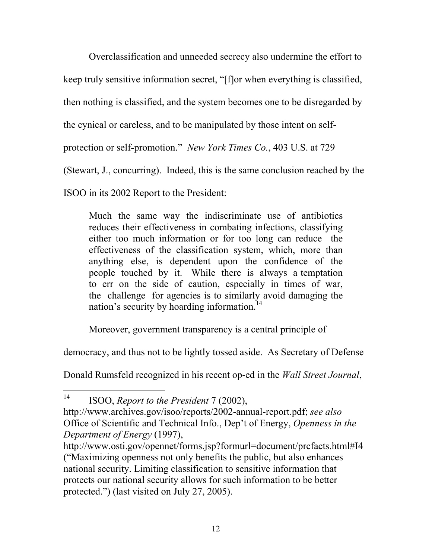Overclassification and unneeded secrecy also undermine the effort to

keep truly sensitive information secret, "[f]or when everything is classified,

then nothing is classified, and the system becomes one to be disregarded by

the cynical or careless, and to be manipulated by those intent on self-

protection or self-promotion." *New York Times Co.*, 403 U.S. at 729

(Stewart, J., concurring). Indeed, this is the same conclusion reached by the

ISOO in its 2002 Report to the President:

Much the same way the indiscriminate use of antibiotics reduces their effectiveness in combating infections, classifying either too much information or for too long can reduce the effectiveness of the classification system, which, more than anything else, is dependent upon the confidence of the people touched by it. While there is always a temptation to err on the side of caution, especially in times of war, the challenge for agencies is to similarly avoid damaging the nation's security by hoarding information.<sup>14</sup>

Moreover, government transparency is a central principle of

democracy, and thus not to be lightly tossed aside. As Secretary of Defense

Donald Rumsfeld recognized in his recent op-ed in the *Wall Street Journal*,

 $14$ 14 ISOO, *Report to the President* 7 (2002),

http://www.archives.gov/isoo/reports/2002-annual-report.pdf; *see also* Office of Scientific and Technical Info., Dep't of Energy, *Openness in the Department of Energy* (1997),

http://www.osti.gov/opennet/forms.jsp?formurl=document/prcfacts.html#I4 ("Maximizing openness not only benefits the public, but also enhances national security. Limiting classification to sensitive information that protects our national security allows for such information to be better protected.") (last visited on July 27, 2005).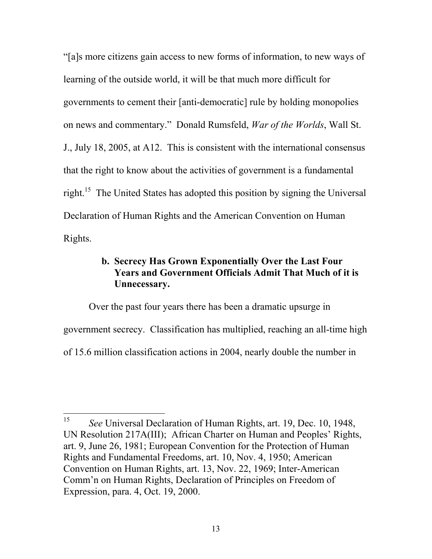"[a]s more citizens gain access to new forms of information, to new ways of learning of the outside world, it will be that much more difficult for governments to cement their [anti-democratic] rule by holding monopolies on news and commentary." Donald Rumsfeld, *War of the Worlds*, Wall St. J., July 18, 2005, at A12. This is consistent with the international consensus that the right to know about the activities of government is a fundamental right.15 The United States has adopted this position by signing the Universal Declaration of Human Rights and the American Convention on Human Rights.

## **b. Secrecy Has Grown Exponentially Over the Last Four Years and Government Officials Admit That Much of it is Unnecessary.**

Over the past four years there has been a dramatic upsurge in government secrecy. Classification has multiplied, reaching an all-time high of 15.6 million classification actions in 2004, nearly double the number in

<sup>15</sup> 15 *See* Universal Declaration of Human Rights, art. 19, Dec. 10, 1948, UN Resolution 217A(III); African Charter on Human and Peoples' Rights, art. 9, June 26, 1981; European Convention for the Protection of Human Rights and Fundamental Freedoms, art. 10, Nov. 4, 1950; American Convention on Human Rights, art. 13, Nov. 22, 1969; Inter-American Comm'n on Human Rights, Declaration of Principles on Freedom of Expression, para. 4, Oct. 19, 2000.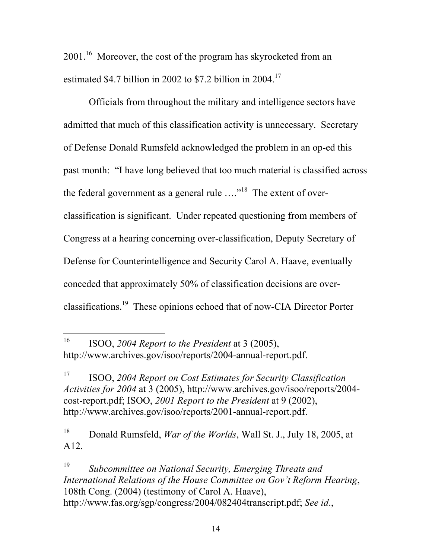2001.<sup>16</sup> Moreover, the cost of the program has skyrocketed from an estimated \$4.7 billion in 2002 to \$7.2 billion in 2004.<sup>17</sup>

Officials from throughout the military and intelligence sectors have admitted that much of this classification activity is unnecessary. Secretary of Defense Donald Rumsfeld acknowledged the problem in an op-ed this past month: "I have long believed that too much material is classified across the federal government as a general rule  $\dots$ <sup>18</sup>. The extent of overclassification is significant. Under repeated questioning from members of Congress at a hearing concerning over-classification, Deputy Secretary of Defense for Counterintelligence and Security Carol A. Haave, eventually conceded that approximately 50% of classification decisions are overclassifications.19 These opinions echoed that of now-CIA Director Porter

16 ISOO, *2004 Report to the President* at 3 (2005), http://www.archives.gov/isoo/reports/2004-annual-report.pdf.

 $\overline{a}$ 

17 ISOO, *2004 Report on Cost Estimates for Security Classification Activities for 2004* at 3 (2005), http://www.archives.gov/isoo/reports/2004 cost-report.pdf; ISOO, *2001 Report to the President* at 9 (2002), http://www.archives.gov/isoo/reports/2001-annual-report.pdf.

18 Donald Rumsfeld, *War of the Worlds*, Wall St. J., July 18, 2005, at A12.

19 *Subcommittee on National Security, Emerging Threats and International Relations of the House Committee on Gov't Reform Hearing*, 108th Cong. (2004) (testimony of Carol A. Haave), http://www.fas.org/sgp/congress/2004/082404transcript.pdf; *See id*.,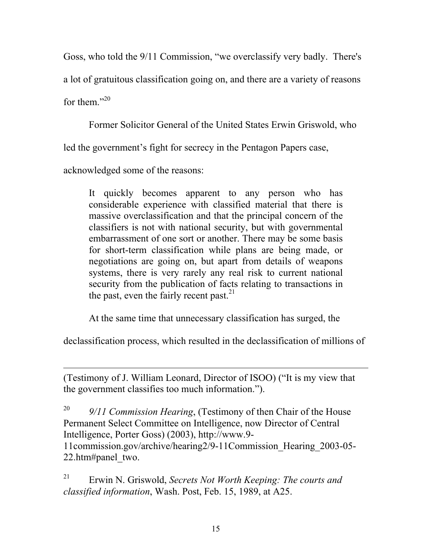Goss, who told the 9/11 Commission, "we overclassify very badly. There's a lot of gratuitous classification going on, and there are a variety of reasons for them." $^{20}$ 

Former Solicitor General of the United States Erwin Griswold, who

led the government's fight for secrecy in the Pentagon Papers case,

acknowledged some of the reasons:

 $\overline{a}$ 

It quickly becomes apparent to any person who has considerable experience with classified material that there is massive overclassification and that the principal concern of the classifiers is not with national security, but with governmental embarrassment of one sort or another. There may be some basis for short-term classification while plans are being made, or negotiations are going on, but apart from details of weapons systems, there is very rarely any real risk to current national security from the publication of facts relating to transactions in the past, even the fairly recent past. $21$ 

At the same time that unnecessary classification has surged, the

declassification process, which resulted in the declassification of millions of

(Testimony of J. William Leonard, Director of ISOO) ("It is my view that the government classifies too much information.").

20 *9/11 Commission Hearing*, (Testimony of then Chair of the House Permanent Select Committee on Intelligence, now Director of Central Intelligence, Porter Goss) (2003), http://www.9- 11commission.gov/archive/hearing2/9-11Commission\_Hearing\_2003-05- 22.htm#panel\_two.

21 Erwin N. Griswold, *Secrets Not Worth Keeping: The courts and classified information*, Wash. Post, Feb. 15, 1989, at A25.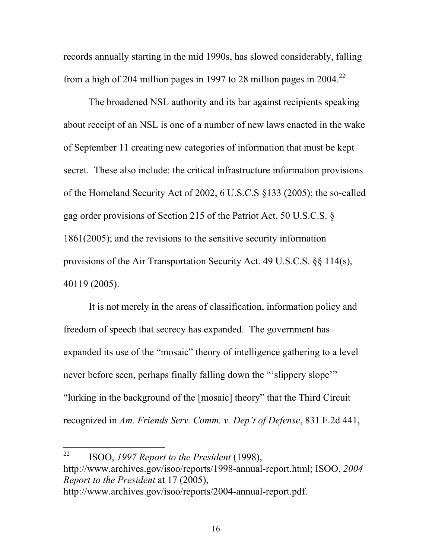records annually starting in the mid 1990s, has slowed considerably, falling from a high of 204 million pages in 1997 to 28 million pages in  $2004.<sup>22</sup>$ 

The broadened NSL authority and its bar against recipients speaking about receipt of an NSL is one of a number of new laws enacted in the wake of September 11 creating new categories of information that must be kept secret. These also include: the critical infrastructure information provisions of the Homeland Security Act of 2002, 6 U.S.C.S §133 (2005); the so-called gag order provisions of Section 215 of the Patriot Act, 50 U.S.C.S. § 1861(2005); and the revisions to the sensitive security information provisions of the Air Transportation Security Act. 49 U.S.C.S. §§ 114(s), 40119 (2005).

It is not merely in the areas of classification, information policy and freedom of speech that secrecy has expanded. The government has expanded its use of the "mosaic" theory of intelligence gathering to a level never before seen, perhaps finally falling down the "'slippery slope'" "lurking in the background of the [mosaic] theory" that the Third Circuit recognized in *Am. Friends Serv. Comm. v. Dep't of Defense*, 831 F.2d 441,

 $22$ 22 ISOO, *1997 Report to the President* (1998), http://www.archives.gov/isoo/reports/1998-annual-report.html; ISOO, *2004 Report to the President* at 17 (2005), http://www.archives.gov/isoo/reports/2004-annual-report.pdf.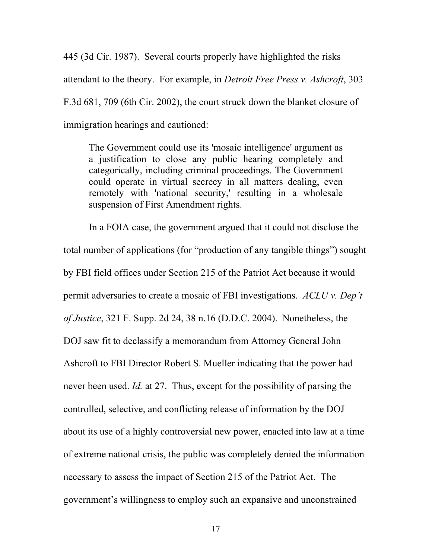445 (3d Cir. 1987). Several courts properly have highlighted the risks attendant to the theory. For example, in *Detroit Free Press v. Ashcroft*, 303 F.3d 681, 709 (6th Cir. 2002), the court struck down the blanket closure of immigration hearings and cautioned:

The Government could use its 'mosaic intelligence' argument as a justification to close any public hearing completely and categorically, including criminal proceedings. The Government could operate in virtual secrecy in all matters dealing, even remotely with 'national security,' resulting in a wholesale suspension of First Amendment rights.

In a FOIA case, the government argued that it could not disclose the total number of applications (for "production of any tangible things") sought by FBI field offices under Section 215 of the Patriot Act because it would permit adversaries to create a mosaic of FBI investigations. *ACLU v. Dep't of Justice*, 321 F. Supp. 2d 24, 38 n.16 (D.D.C. 2004). Nonetheless, the DOJ saw fit to declassify a memorandum from Attorney General John Ashcroft to FBI Director Robert S. Mueller indicating that the power had never been used. *Id.* at 27. Thus, except for the possibility of parsing the controlled, selective, and conflicting release of information by the DOJ about its use of a highly controversial new power, enacted into law at a time of extreme national crisis, the public was completely denied the information necessary to assess the impact of Section 215 of the Patriot Act. The government's willingness to employ such an expansive and unconstrained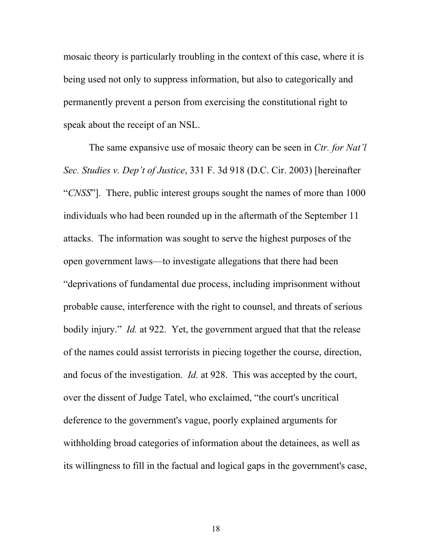mosaic theory is particularly troubling in the context of this case, where it is being used not only to suppress information, but also to categorically and permanently prevent a person from exercising the constitutional right to speak about the receipt of an NSL.

The same expansive use of mosaic theory can be seen in *Ctr. for Nat'l Sec. Studies v. Dep't of Justice*, 331 F. 3d 918 (D.C. Cir. 2003) [hereinafter "*CNSS*"]. There, public interest groups sought the names of more than 1000 individuals who had been rounded up in the aftermath of the September 11 attacks. The information was sought to serve the highest purposes of the open government laws—to investigate allegations that there had been "deprivations of fundamental due process, including imprisonment without probable cause, interference with the right to counsel, and threats of serious bodily injury." *Id.* at 922. Yet, the government argued that that the release of the names could assist terrorists in piecing together the course, direction, and focus of the investigation. *Id.* at 928. This was accepted by the court, over the dissent of Judge Tatel, who exclaimed, "the court's uncritical deference to the government's vague, poorly explained arguments for withholding broad categories of information about the detainees, as well as its willingness to fill in the factual and logical gaps in the government's case,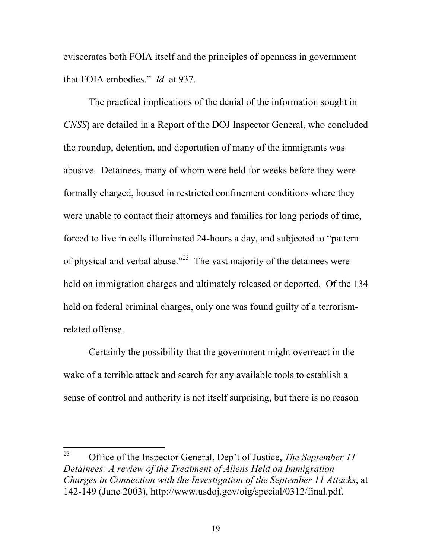eviscerates both FOIA itself and the principles of openness in government that FOIA embodies." *Id.* at 937.

The practical implications of the denial of the information sought in *CNSS*) are detailed in a Report of the DOJ Inspector General, who concluded the roundup, detention, and deportation of many of the immigrants was abusive. Detainees, many of whom were held for weeks before they were formally charged, housed in restricted confinement conditions where they were unable to contact their attorneys and families for long periods of time, forced to live in cells illuminated 24-hours a day, and subjected to "pattern of physical and verbal abuse."<sup>23</sup> The vast majority of the detainees were held on immigration charges and ultimately released or deported. Of the 134 held on federal criminal charges, only one was found guilty of a terrorismrelated offense.

Certainly the possibility that the government might overreact in the wake of a terrible attack and search for any available tools to establish a sense of control and authority is not itself surprising, but there is no reason

<sup>23</sup> 23 Office of the Inspector General, Dep't of Justice, *The September 11 Detainees: A review of the Treatment of Aliens Held on Immigration Charges in Connection with the Investigation of the September 11 Attacks*, at 142-149 (June 2003), http://www.usdoj.gov/oig/special/0312/final.pdf.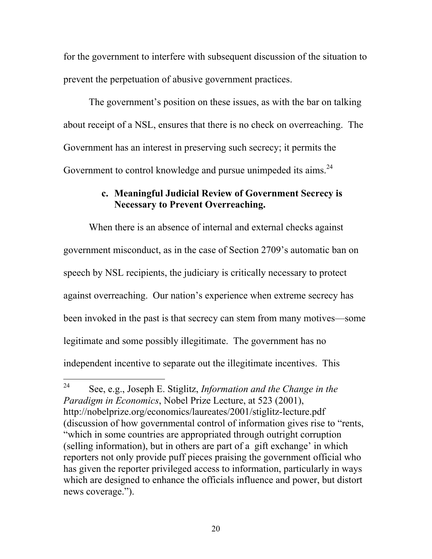for the government to interfere with subsequent discussion of the situation to prevent the perpetuation of abusive government practices.

The government's position on these issues, as with the bar on talking about receipt of a NSL, ensures that there is no check on overreaching. The Government has an interest in preserving such secrecy; it permits the Government to control knowledge and pursue unimpeded its aims.<sup>24</sup>

## **c. Meaningful Judicial Review of Government Secrecy is Necessary to Prevent Overreaching.**

When there is an absence of internal and external checks against government misconduct, as in the case of Section 2709's automatic ban on speech by NSL recipients, the judiciary is critically necessary to protect against overreaching. Our nation's experience when extreme secrecy has been invoked in the past is that secrecy can stem from many motives—some legitimate and some possibly illegitimate. The government has no independent incentive to separate out the illegitimate incentives. This

 $24$ 24 See, e.g., Joseph E. Stiglitz, *Information and the Change in the Paradigm in Economics*, Nobel Prize Lecture, at 523 (2001), http://nobelprize.org/economics/laureates/2001/stiglitz-lecture.pdf (discussion of how governmental control of information gives rise to "rents, "which in some countries are appropriated through outright corruption (selling information), but in others are part of a gift exchange' in which reporters not only provide puff pieces praising the government official who has given the reporter privileged access to information, particularly in ways which are designed to enhance the officials influence and power, but distort news coverage.").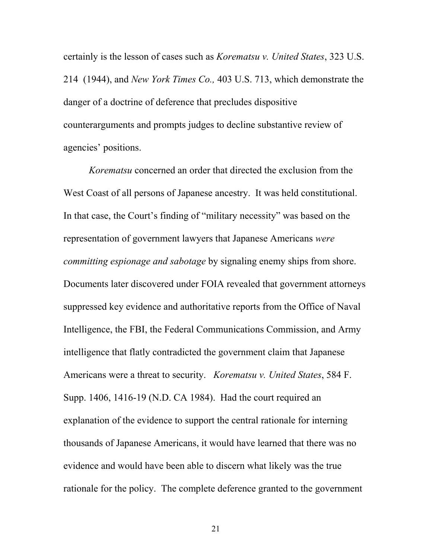certainly is the lesson of cases such as *Korematsu v. United States*, 323 U.S. 214 (1944), and *New York Times Co.,* 403 U.S. 713, which demonstrate the danger of a doctrine of deference that precludes dispositive counterarguments and prompts judges to decline substantive review of agencies' positions.

*Korematsu* concerned an order that directed the exclusion from the West Coast of all persons of Japanese ancestry. It was held constitutional. In that case, the Court's finding of "military necessity" was based on the representation of government lawyers that Japanese Americans *were committing espionage and sabotage* by signaling enemy ships from shore. Documents later discovered under FOIA revealed that government attorneys suppressed key evidence and authoritative reports from the Office of Naval Intelligence, the FBI, the Federal Communications Commission, and Army intelligence that flatly contradicted the government claim that Japanese Americans were a threat to security. *Korematsu v. United States*, 584 F. Supp. 1406, 1416-19 (N.D. CA 1984). Had the court required an explanation of the evidence to support the central rationale for interning thousands of Japanese Americans, it would have learned that there was no evidence and would have been able to discern what likely was the true rationale for the policy. The complete deference granted to the government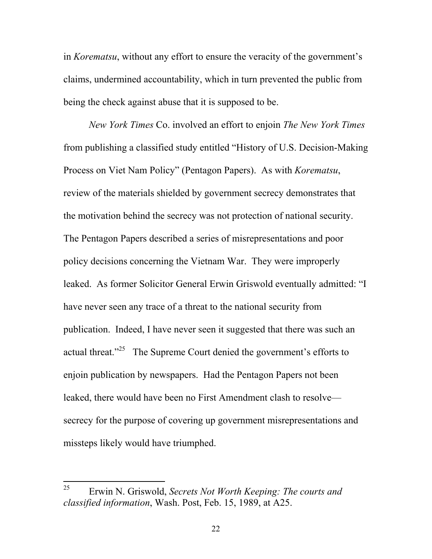in *Korematsu*, without any effort to ensure the veracity of the government's claims, undermined accountability, which in turn prevented the public from being the check against abuse that it is supposed to be.

*New York Times* Co. involved an effort to enjoin *The New York Times* from publishing a classified study entitled "History of U.S. Decision-Making Process on Viet Nam Policy" (Pentagon Papers). As with *Korematsu*, review of the materials shielded by government secrecy demonstrates that the motivation behind the secrecy was not protection of national security. The Pentagon Papers described a series of misrepresentations and poor policy decisions concerning the Vietnam War. They were improperly leaked. As former Solicitor General Erwin Griswold eventually admitted: "I have never seen any trace of a threat to the national security from publication. Indeed, I have never seen it suggested that there was such an actual threat. $125$  The Supreme Court denied the government's efforts to enjoin publication by newspapers. Had the Pentagon Papers not been leaked, there would have been no First Amendment clash to resolve secrecy for the purpose of covering up government misrepresentations and missteps likely would have triumphed.

 $\overline{a}$ 

<sup>25</sup> Erwin N. Griswold, *Secrets Not Worth Keeping: The courts and classified information*, Wash. Post, Feb. 15, 1989, at A25.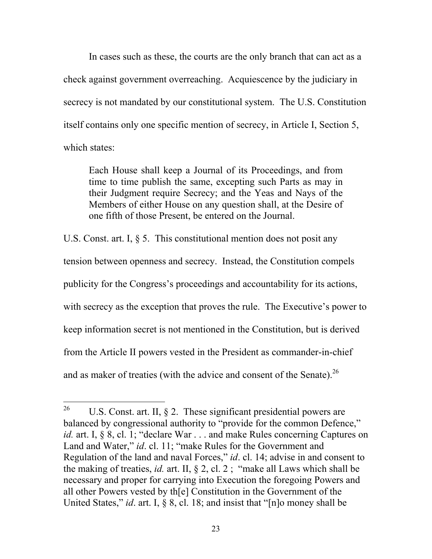In cases such as these, the courts are the only branch that can act as a check against government overreaching. Acquiescence by the judiciary in secrecy is not mandated by our constitutional system. The U.S. Constitution itself contains only one specific mention of secrecy, in Article I, Section 5, which states:

Each House shall keep a Journal of its Proceedings, and from time to time publish the same, excepting such Parts as may in their Judgment require Secrecy; and the Yeas and Nays of the Members of either House on any question shall, at the Desire of one fifth of those Present, be entered on the Journal.

U.S. Const. art. I, § 5. This constitutional mention does not posit any tension between openness and secrecy. Instead, the Constitution compels publicity for the Congress's proceedings and accountability for its actions, with secrecy as the exception that proves the rule. The Executive's power to keep information secret is not mentioned in the Constitution, but is derived from the Article II powers vested in the President as commander-in-chief and as maker of treaties (with the advice and consent of the Senate).  $26$ 

<sup>26</sup> U.S. Const. art. II,  $\S$  2. These significant presidential powers are balanced by congressional authority to "provide for the common Defence," *id.* art. I, § 8, cl. 1; "declare War . . . and make Rules concerning Captures on Land and Water," *id*. cl. 11; "make Rules for the Government and Regulation of the land and naval Forces," *id*. cl. 14; advise in and consent to the making of treaties, *id.* art. II, § 2, cl. 2 ; "make all Laws which shall be necessary and proper for carrying into Execution the foregoing Powers and all other Powers vested by th[e] Constitution in the Government of the United States," *id*. art. I, § 8, cl. 18; and insist that "[n]o money shall be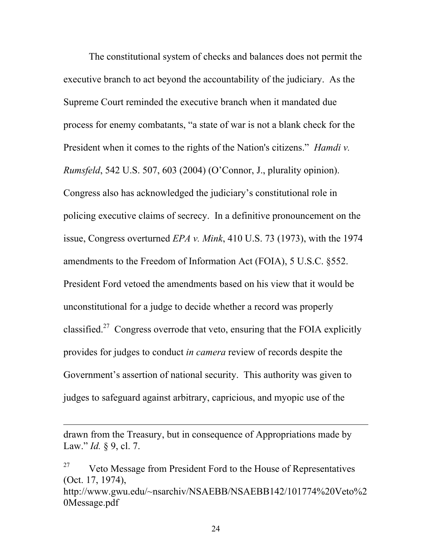The constitutional system of checks and balances does not permit the executive branch to act beyond the accountability of the judiciary. As the Supreme Court reminded the executive branch when it mandated due process for enemy combatants, "a state of war is not a blank check for the President when it comes to the rights of the Nation's citizens." *Hamdi v. Rumsfeld*, 542 U.S. 507, 603 (2004) (O'Connor, J., plurality opinion). Congress also has acknowledged the judiciary's constitutional role in policing executive claims of secrecy. In a definitive pronouncement on the issue, Congress overturned *EPA v. Mink*, 410 U.S. 73 (1973), with the 1974 amendments to the Freedom of Information Act (FOIA), 5 U.S.C. §552. President Ford vetoed the amendments based on his view that it would be unconstitutional for a judge to decide whether a record was properly classified.<sup>27</sup> Congress overrode that veto, ensuring that the FOIA explicitly provides for judges to conduct *in camera* review of records despite the Government's assertion of national security. This authority was given to judges to safeguard against arbitrary, capricious, and myopic use of the

 $\overline{a}$ 

drawn from the Treasury, but in consequence of Appropriations made by Law." *Id.* § 9, cl. 7.

 $27$  Veto Message from President Ford to the House of Representatives (Oct. 17, 1974), http://www.gwu.edu/~nsarchiv/NSAEBB/NSAEBB142/101774%20Veto%2 0Message.pdf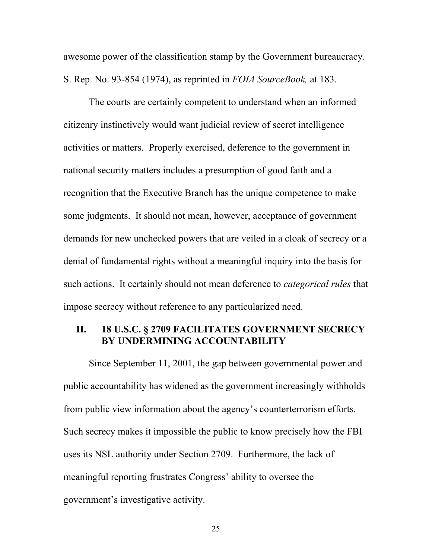awesome power of the classification stamp by the Government bureaucracy. S. Rep. No. 93-854 (1974), as reprinted in *FOIA SourceBook,* at 183.

The courts are certainly competent to understand when an informed citizenry instinctively would want judicial review of secret intelligence activities or matters. Properly exercised, deference to the government in national security matters includes a presumption of good faith and a recognition that the Executive Branch has the unique competence to make some judgments. It should not mean, however, acceptance of government demands for new unchecked powers that are veiled in a cloak of secrecy or a denial of fundamental rights without a meaningful inquiry into the basis for such actions. It certainly should not mean deference to *categorical rules* that impose secrecy without reference to any particularized need.

## **II. 18 U.S.C. § 2709 FACILITATES GOVERNMENT SECRECY BY UNDERMINING ACCOUNTABILITY**

Since September 11, 2001, the gap between governmental power and public accountability has widened as the government increasingly withholds from public view information about the agency's counterterrorism efforts. Such secrecy makes it impossible the public to know precisely how the FBI uses its NSL authority under Section 2709. Furthermore, the lack of meaningful reporting frustrates Congress' ability to oversee the government's investigative activity.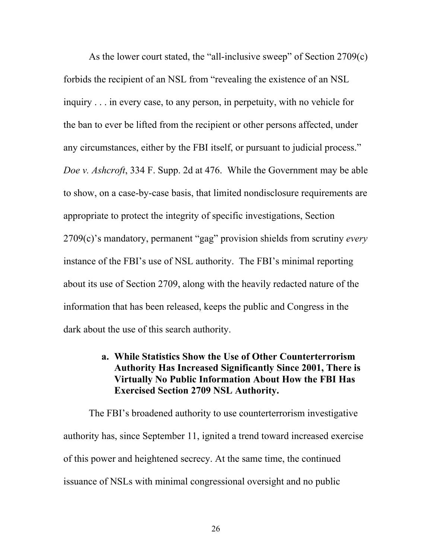As the lower court stated, the "all-inclusive sweep" of Section 2709(c) forbids the recipient of an NSL from "revealing the existence of an NSL inquiry . . . in every case, to any person, in perpetuity, with no vehicle for the ban to ever be lifted from the recipient or other persons affected, under any circumstances, either by the FBI itself, or pursuant to judicial process." *Doe v. Ashcroft*, 334 F. Supp. 2d at 476. While the Government may be able to show, on a case-by-case basis, that limited nondisclosure requirements are appropriate to protect the integrity of specific investigations, Section 2709(c)'s mandatory, permanent "gag" provision shields from scrutiny *every* instance of the FBI's use of NSL authority. The FBI's minimal reporting about its use of Section 2709, along with the heavily redacted nature of the information that has been released, keeps the public and Congress in the dark about the use of this search authority.

## **a. While Statistics Show the Use of Other Counterterrorism Authority Has Increased Significantly Since 2001, There is Virtually No Public Information About How the FBI Has Exercised Section 2709 NSL Authority.**

The FBI's broadened authority to use counterterrorism investigative authority has, since September 11, ignited a trend toward increased exercise of this power and heightened secrecy. At the same time, the continued issuance of NSLs with minimal congressional oversight and no public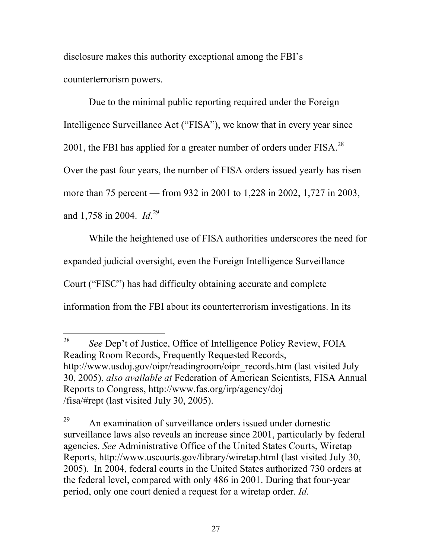disclosure makes this authority exceptional among the FBI's counterterrorism powers.

Due to the minimal public reporting required under the Foreign Intelligence Surveillance Act ("FISA"), we know that in every year since 2001, the FBI has applied for a greater number of orders under FISA.<sup>28</sup> Over the past four years, the number of FISA orders issued yearly has risen more than 75 percent — from 932 in 2001 to 1,228 in 2002, 1,727 in 2003, and 1,758 in 2004. *Id*. 29

While the heightened use of FISA authorities underscores the need for expanded judicial oversight, even the Foreign Intelligence Surveillance Court ("FISC") has had difficulty obtaining accurate and complete information from the FBI about its counterterrorism investigations. In its

 $\overline{a}$ 28 *See* Dep't of Justice, Office of Intelligence Policy Review, FOIA Reading Room Records, Frequently Requested Records, http://www.usdoj.gov/oipr/readingroom/oipr\_records.htm (last visited July 30, 2005), *also available at* Federation of American Scientists, FISA Annual Reports to Congress, http://www.fas.org/irp/agency/doj /fisa/#rept (last visited July 30, 2005).

 $29$  An examination of surveillance orders issued under domestic surveillance laws also reveals an increase since 2001, particularly by federal agencies. *See* Administrative Office of the United States Courts, Wiretap Reports, http://www.uscourts.gov/library/wiretap.html (last visited July 30, 2005). In 2004, federal courts in the United States authorized 730 orders at the federal level, compared with only 486 in 2001. During that four-year period, only one court denied a request for a wiretap order. *Id.*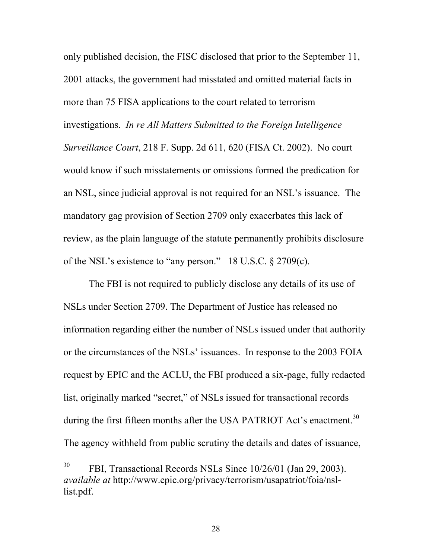only published decision, the FISC disclosed that prior to the September 11, 2001 attacks, the government had misstated and omitted material facts in more than 75 FISA applications to the court related to terrorism investigations. *In re All Matters Submitted to the Foreign Intelligence Surveillance Court*, 218 F. Supp. 2d 611, 620 (FISA Ct. 2002). No court would know if such misstatements or omissions formed the predication for an NSL, since judicial approval is not required for an NSL's issuance. The mandatory gag provision of Section 2709 only exacerbates this lack of review, as the plain language of the statute permanently prohibits disclosure of the NSL's existence to "any person." 18 U.S.C. § 2709(c).

The FBI is not required to publicly disclose any details of its use of NSLs under Section 2709. The Department of Justice has released no information regarding either the number of NSLs issued under that authority or the circumstances of the NSLs' issuances. In response to the 2003 FOIA request by EPIC and the ACLU, the FBI produced a six-page, fully redacted list, originally marked "secret," of NSLs issued for transactional records during the first fifteen months after the USA PATRIOT Act's enactment.<sup>30</sup> The agency withheld from public scrutiny the details and dates of issuance,

<sup>30</sup> 30 FBI, Transactional Records NSLs Since 10/26/01 (Jan 29, 2003). *available at* http://www.epic.org/privacy/terrorism/usapatriot/foia/nsllist.pdf.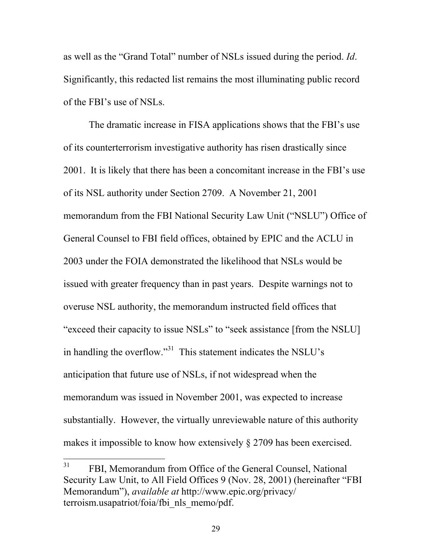as well as the "Grand Total" number of NSLs issued during the period. *Id*. Significantly, this redacted list remains the most illuminating public record of the FBI's use of NSLs.

The dramatic increase in FISA applications shows that the FBI's use of its counterterrorism investigative authority has risen drastically since 2001. It is likely that there has been a concomitant increase in the FBI's use of its NSL authority under Section 2709. A November 21, 2001 memorandum from the FBI National Security Law Unit ("NSLU") Office of General Counsel to FBI field offices, obtained by EPIC and the ACLU in 2003 under the FOIA demonstrated the likelihood that NSLs would be issued with greater frequency than in past years. Despite warnings not to overuse NSL authority, the memorandum instructed field offices that "exceed their capacity to issue NSLs" to "seek assistance [from the NSLU] in handling the overflow."31 This statement indicates the NSLU's anticipation that future use of NSLs, if not widespread when the memorandum was issued in November 2001, was expected to increase substantially. However, the virtually unreviewable nature of this authority makes it impossible to know how extensively § 2709 has been exercised.

 $31$ FBI, Memorandum from Office of the General Counsel, National Security Law Unit, to All Field Offices 9 (Nov. 28, 2001) (hereinafter "FBI Memorandum"), *available at* http://www.epic.org/privacy/ terroism.usapatriot/foia/fbi\_nls\_memo/pdf.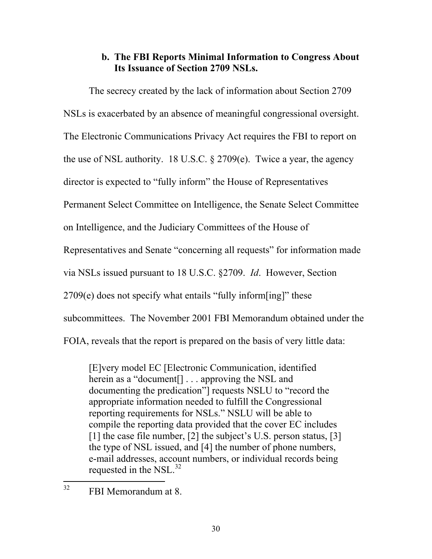## **b. The FBI Reports Minimal Information to Congress About Its Issuance of Section 2709 NSLs.**

The secrecy created by the lack of information about Section 2709 NSLs is exacerbated by an absence of meaningful congressional oversight. The Electronic Communications Privacy Act requires the FBI to report on the use of NSL authority. 18 U.S.C. § 2709(e). Twice a year, the agency director is expected to "fully inform" the House of Representatives Permanent Select Committee on Intelligence, the Senate Select Committee on Intelligence, and the Judiciary Committees of the House of Representatives and Senate "concerning all requests" for information made via NSLs issued pursuant to 18 U.S.C. §2709. *Id*. However, Section  $2709(e)$  does not specify what entails "fully inform[ing]" these subcommittees. The November 2001 FBI Memorandum obtained under the FOIA, reveals that the report is prepared on the basis of very little data:

[E]very model EC [Electronic Communication, identified herein as a "document<sup>[]</sup> . . . approving the NSL and documenting the predication"] requests NSLU to "record the appropriate information needed to fulfill the Congressional reporting requirements for NSLs." NSLU will be able to compile the reporting data provided that the cover EC includes [1] the case file number, [2] the subject's U.S. person status, [3] the type of NSL issued, and [4] the number of phone numbers, e-mail addresses, account numbers, or individual records being requested in the NSL. $^{32}$ 

 $\overline{a}$ 

 $32$  FBI Memorandum at 8.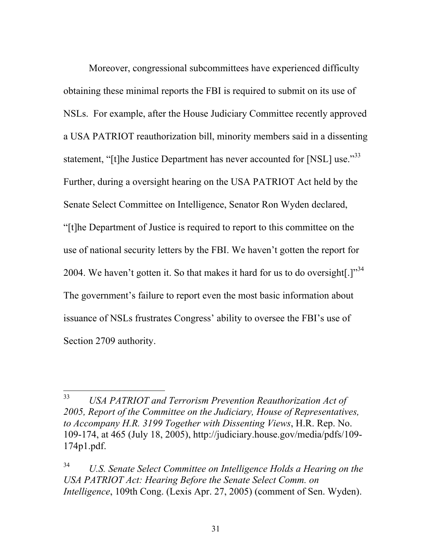Moreover, congressional subcommittees have experienced difficulty obtaining these minimal reports the FBI is required to submit on its use of NSLs. For example, after the House Judiciary Committee recently approved a USA PATRIOT reauthorization bill, minority members said in a dissenting statement, "[t]he Justice Department has never accounted for [NSL] use."<sup>33</sup> Further, during a oversight hearing on the USA PATRIOT Act held by the Senate Select Committee on Intelligence, Senator Ron Wyden declared, "[t]he Department of Justice is required to report to this committee on the use of national security letters by the FBI. We haven't gotten the report for 2004. We haven't gotten it. So that makes it hard for us to do oversight.] $1^{34}$ The government's failure to report even the most basic information about issuance of NSLs frustrates Congress' ability to oversee the FBI's use of Section 2709 authority.

<sup>33</sup> 33 *USA PATRIOT and Terrorism Prevention Reauthorization Act of 2005, Report of the Committee on the Judiciary, House of Representatives, to Accompany H.R. 3199 Together with Dissenting Views*, H.R. Rep. No. 109-174, at 465 (July 18, 2005), http://judiciary.house.gov/media/pdfs/109- 174p1.pdf.

<sup>34</sup> *U.S. Senate Select Committee on Intelligence Holds a Hearing on the USA PATRIOT Act: Hearing Before the Senate Select Comm. on Intelligence*, 109th Cong. (Lexis Apr. 27, 2005) (comment of Sen. Wyden).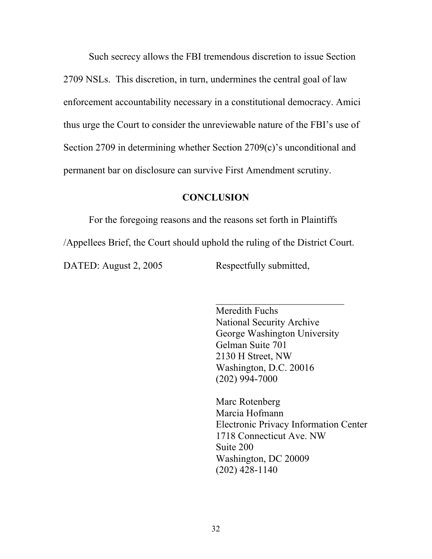Such secrecy allows the FBI tremendous discretion to issue Section 2709 NSLs. This discretion, in turn, undermines the central goal of law enforcement accountability necessary in a constitutional democracy. Amici thus urge the Court to consider the unreviewable nature of the FBI's use of Section 2709 in determining whether Section 2709(c)'s unconditional and permanent bar on disclosure can survive First Amendment scrutiny.

## **CONCLUSION**

For the foregoing reasons and the reasons set forth in Plaintiffs

/Appellees Brief, the Court should uphold the ruling of the District Court.

 $\mathcal{L}_\text{max}$  and  $\mathcal{L}_\text{max}$  and  $\mathcal{L}_\text{max}$  and  $\mathcal{L}_\text{max}$  and  $\mathcal{L}_\text{max}$  and  $\mathcal{L}_\text{max}$ 

DATED: August 2, 2005 Respectfully submitted,

 Meredith Fuchs National Security Archive George Washington University Gelman Suite 701 2130 H Street, NW Washington, D.C. 20016 (202) 994-7000

 Marc Rotenberg Marcia Hofmann Electronic Privacy Information Center 1718 Connecticut Ave. NW Suite 200 Washington, DC 20009 (202) 428-1140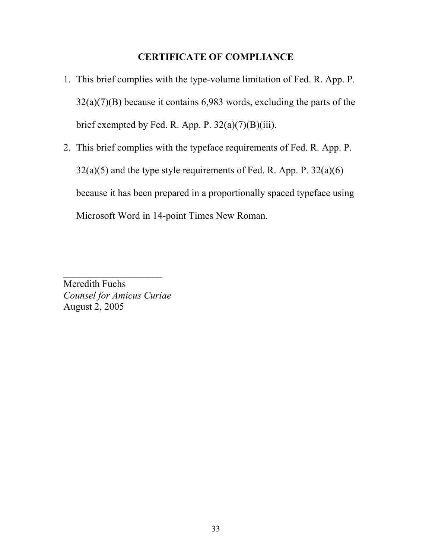## **CERTIFICATE OF COMPLIANCE**

- 1. This brief complies with the type-volume limitation of Fed. R. App. P. 32(a)(7)(B) because it contains 6,983 words, excluding the parts of the brief exempted by Fed. R. App. P.  $32(a)(7)(B)(iii)$ .
- 2. This brief complies with the typeface requirements of Fed. R. App. P.  $32(a)(5)$  and the type style requirements of Fed. R. App. P.  $32(a)(6)$ because it has been prepared in a proportionally spaced typeface using Microsoft Word in 14-point Times New Roman.

Meredith Fuchs *Counsel for Amicus Curiae*  August 2, 2005

 $\mathcal{L}_\text{max}$  , where  $\mathcal{L}_\text{max}$